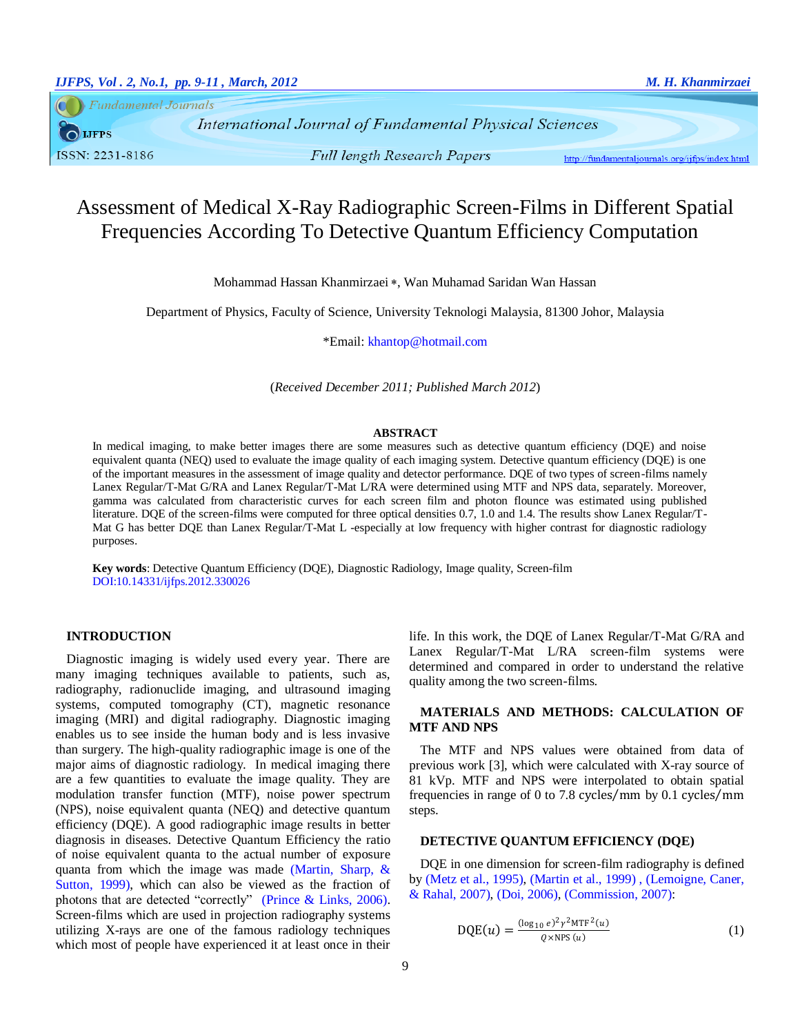**Fundamental Journals** O LJFPS ISSN: 2231-8186

**International Journal of Fundamental Physical Sciences Full length Research Papers** 

http://fundamentaljournals.org/ijfps/index.html

# Assessment of Medical X-Ray Radiographic Screen-Films in Different Spatial Frequencies According To Detective Quantum Efficiency Computation

Mohammad Hassan Khanmirzaei \*, Wan Muhamad Saridan Wan Hassan

Department of Physics, Faculty of Science, University Teknologi Malaysia, 81300 Johor, Malaysia

\*Email[: khantop@hotmail.com](mailto:khantop@hotmail.com)

(*Received December 2011; Published March 2012*)

#### **ABSTRACT**

In medical imaging, to make better images there are some measures such as detective quantum efficiency (DQE) and noise equivalent quanta (NEQ) used to evaluate the image quality of each imaging system. Detective quantum efficiency (DQE) is one of the important measures in the assessment of image quality and detector performance. DQE of two types of screen-films namely Lanex Regular/T-Mat G/RA and Lanex Regular/T-Mat L/RA were determined using MTF and NPS data, separately. Moreover, gamma was calculated from characteristic curves for each screen film and photon flounce was estimated using published literature. DQE of the screen-films were computed for three optical densities 0.7, 1.0 and 1.4. The results show Lanex Regular/T-Mat G has better DQE than Lanex Regular/T-Mat L -especially at low frequency with higher contrast for diagnostic radiology purposes.

**Key words**: Detective Quantum Efficiency (DQE), Diagnostic Radiology, Image quality, Screen-film DOI:10.14331/ijfps.2012.330026

#### **INTRODUCTION**

Diagnostic imaging is widely used every year. There are many imaging techniques available to patients, such as, radiography, radionuclide imaging, and ultrasound imaging systems, computed tomography (CT), magnetic resonance imaging (MRI) and digital radiography. Diagnostic imaging enables us to see inside the human body and is less invasive than surgery. The high-quality radiographic image is one of the major aims of diagnostic radiology. In medical imaging there are a few quantities to evaluate the image quality. They are modulation transfer function (MTF), noise power spectrum (NPS), noise equivalent quanta (NEQ) and detective quantum efficiency (DQE). A good radiographic image results in better diagnosis in diseases. Detective Quantum Efficiency the ratio of noise equivalent quanta to the actual number of exposure quanta from which the image was made [\(Martin, Sharp, &](#page-2-0)  [Sutton, 1999\)](#page-2-0), which can also be viewed as the fraction of photons that are detected "correctly" [\(Prince & Links, 2006\)](#page-2-1). Screen-films which are used in projection radiography systems utilizing X-rays are one of the famous radiology techniques which most of people have experienced it at least once in their life. In this work, the DQE of Lanex Regular/T-Mat G/RA and Lanex Regular/T-Mat L/RA screen-film systems were determined and compared in order to understand the relative quality among the two screen-films.

# **MATERIALS AND METHODS: CALCULATION OF MTF AND NPS**

The MTF and NPS values were obtained from data of previous work [3], which were calculated with X-ray source of 81 kVp. MTF and NPS were interpolated to obtain spatial frequencies in range of 0 to 7.8 cycles/mm by  $0.1$  cycles/mm steps.

# **DETECTIVE QUANTUM EFFICIENCY (DQE)**

DQE in one dimension for screen-film radiography is defined by [\(Metz et al., 1995\)](#page-2-2), [\(Martin et al., 1999\)](#page-2-0) , [\(Lemoigne, Caner,](#page-2-3)  [& Rahal, 2007\)](#page-2-3), [\(Doi, 2006\)](#page-2-4), [\(Commission, 2007\)](#page-2-5):

$$
DQE(u) = \frac{(\log_{10} e)^2 \gamma^2 MTF^2(u)}{Q \times NPS(u)}
$$
(1)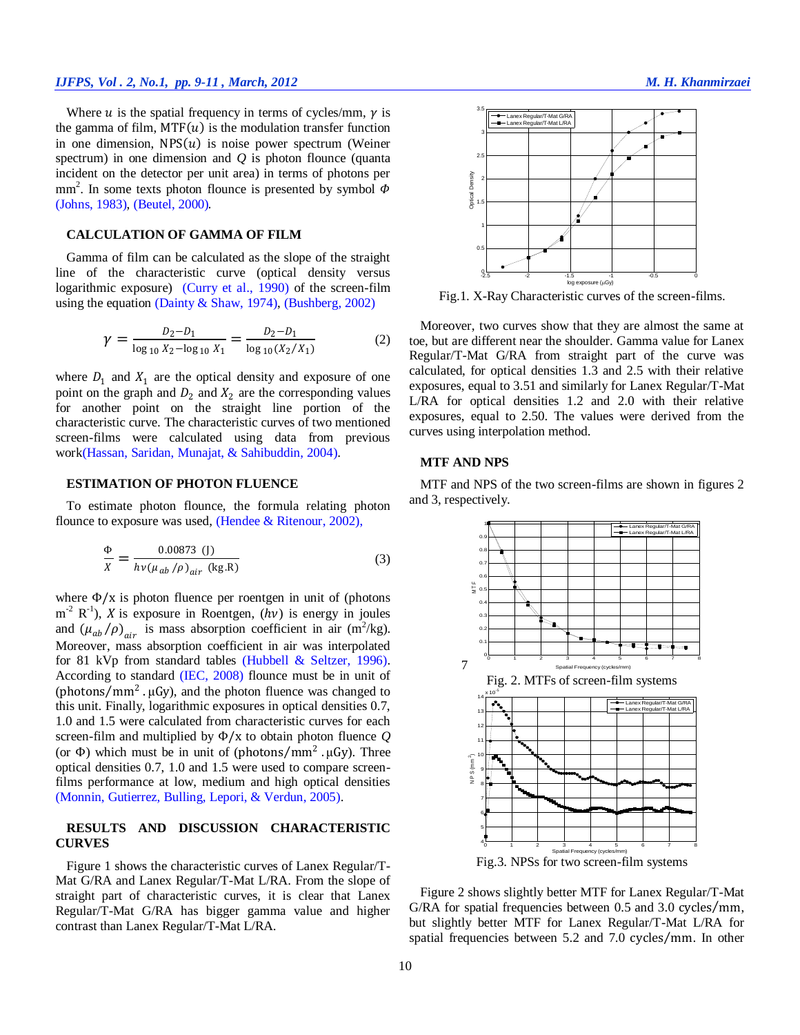#### *IJFPS, Vol . 2, No.1, pp. 9-11 , March, 2012 M. H. Khanmirzaei*

Where  $u$  is the spatial frequency in terms of cycles/mm,  $\gamma$  is the gamma of film,  $MTF(u)$  is the modulation transfer function in one dimension,  $NPS(u)$  is noise power spectrum (Weiner spectrum) in one dimension and *Q* is photon flounce (quanta incident on the detector per unit area) in terms of photons per mm<sup>2</sup>. In some texts photon flounce is presented by symbol  $\Phi$ [\(Johns, 1983\)](#page-2-6), [\(Beutel, 2000\)](#page-2-7).

#### **CALCULATION OF GAMMA OF FILM**

Gamma of film can be calculated as the slope of the straight line of the characteristic curve (optical density versus logarithmic exposure) [\(Curry et al., 1990\)](#page-2-8) of the screen-film using the equation [\(Dainty & Shaw, 1974\)](#page-2-9), [\(Bushberg, 2002\)](#page-2-10)

$$
\gamma = \frac{D_2 - D_1}{\log_{10} X_2 - \log_{10} X_1} = \frac{D_2 - D_1}{\log_{10} (X_2 / X_1)}
$$
(2)

where  $D_1$  and  $X_1$  are the optical density and exposure of one point on the graph and  $D_2$  and  $X_2$  are the corresponding values for another point on the straight line portion of the characteristic curve. The characteristic curves of two mentioned screen-films were calculated using data from previous work[\(Hassan, Saridan, Munajat, & Sahibuddin, 2004\)](#page-2-11).

## **ESTIMATION OF PHOTON FLUENCE**

To estimate photon flounce, the formula relating photon flounce to exposure was used, [\(Hendee & Ritenour, 2002\)](#page-2-12),

$$
\frac{\Phi}{X} = \frac{0.00873 \text{ (J)}}{h\nu(\mu_{ab}/\rho)_{air} \text{ (kg.R)}}
$$
(3)

where  $\Phi/x$  is photon fluence per roentgen in unit of (photons  $m^{-2}$  R<sup>-1</sup>), *X* is exposure in Roentgen, (*hv*) is energy in joules and  $(\mu_{ab}/\rho)_{air}$  is mass absorption coefficient in air (m<sup>2</sup>/kg). Moreover, mass absorption coefficient in air was interpolated for 81 kVp from standard tables [\(Hubbell & Seltzer, 1996\)](#page-2-13). According to standard (IEC, 2008) flounce must be in unit of (photons/mm<sup>2</sup> .  $\mu$ Gy), and the photon fluence was changed to this unit. Finally, logarithmic exposures in optical densities 0.7, 1.0 and 1.5 were calculated from characteristic curves for each screen-film and multiplied by Φ/x to obtain photon fluence *Q* (or  $\Phi$ ) which must be in unit of (photons/mm<sup>2</sup> .μGy). Three optical densities 0.7, 1.0 and 1.5 were used to compare screenfilms performance at low, medium and high optical densities [\(Monnin, Gutierrez, Bulling, Lepori, & Verdun, 2005\)](#page-2-14).

## **RESULTS AND DISCUSSION CHARACTERISTIC CURVES**

Figure 1 shows the characteristic curves of Lanex Regular/T-Mat G/RA and Lanex Regular/T-Mat L/RA. From the slope of straight part of characteristic curves, it is clear that Lanex Regular/T-Mat G/RA has bigger gamma value and higher contrast than Lanex Regular/T-Mat L/RA.



Fig.1. X-Ray Characteristic curves of the screen-films.

Moreover, two curves show that they are almost the same at toe, but are different near the shoulder. Gamma value for Lanex Regular/T-Mat G/RA from straight part of the curve was calculated, for optical densities 1.3 and 2.5 with their relative exposures, equal to 3.51 and similarly for Lanex Regular/T-Mat L/RA for optical densities 1.2 and 2.0 with their relative exposures, equal to 2.50. The values were derived from the curves using interpolation method.

#### **MTF AND NPS**

MTF and NPS of the two screen-films are shown in figures 2 and 3, respectively.



Figure 2 shows slightly better MTF for Lanex Regular/T-Mat  $G/RA$  for spatial frequencies between 0.5 and 3.0 cycles/mm, but slightly better MTF for Lanex Regular/T-Mat L/RA for spatial frequencies between 5.2 and 7.0 cycles/mm. In other